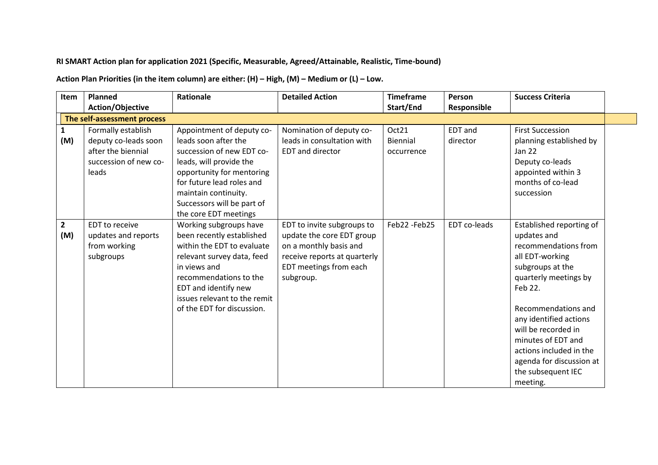## **RI SMART Action plan for application 2021 (Specific, Measurable, Agreed/Attainable, Realistic, Time-bound)**

**Action Plan Priorities (in the item column) are either: (H) – High, (M) – Medium or (L) – Low.**

| <b>Item</b>         | <b>Planned</b>                                                                                     | <b>Rationale</b>                                                                                                                                                                                                                                   | <b>Detailed Action</b>                                                                                                                                   | <b>Timeframe</b>                | Person                     | <b>Success Criteria</b>                                                                                                                                                                                                                                                                                                           |
|---------------------|----------------------------------------------------------------------------------------------------|----------------------------------------------------------------------------------------------------------------------------------------------------------------------------------------------------------------------------------------------------|----------------------------------------------------------------------------------------------------------------------------------------------------------|---------------------------------|----------------------------|-----------------------------------------------------------------------------------------------------------------------------------------------------------------------------------------------------------------------------------------------------------------------------------------------------------------------------------|
|                     | Action/Objective                                                                                   |                                                                                                                                                                                                                                                    |                                                                                                                                                          | Start/End                       | Responsible                |                                                                                                                                                                                                                                                                                                                                   |
|                     | The self-assessment process                                                                        |                                                                                                                                                                                                                                                    |                                                                                                                                                          |                                 |                            |                                                                                                                                                                                                                                                                                                                                   |
| 1<br>(M)            | Formally establish<br>deputy co-leads soon<br>after the biennial<br>succession of new co-<br>leads | Appointment of deputy co-<br>leads soon after the<br>succession of new EDT co-<br>leads, will provide the<br>opportunity for mentoring<br>for future lead roles and<br>maintain continuity.<br>Successors will be part of<br>the core EDT meetings | Nomination of deputy co-<br>leads in consultation with<br><b>EDT</b> and director                                                                        | Oct21<br>Biennial<br>occurrence | <b>EDT</b> and<br>director | <b>First Succession</b><br>planning established by<br>Jan 22<br>Deputy co-leads<br>appointed within 3<br>months of co-lead<br>succession                                                                                                                                                                                          |
| $\mathbf{2}$<br>(M) | EDT to receive<br>updates and reports<br>from working<br>subgroups                                 | Working subgroups have<br>been recently established<br>within the EDT to evaluate<br>relevant survey data, feed<br>in views and<br>recommendations to the<br>EDT and identify new<br>issues relevant to the remit<br>of the EDT for discussion.    | EDT to invite subgroups to<br>update the core EDT group<br>on a monthly basis and<br>receive reports at quarterly<br>EDT meetings from each<br>subgroup. | Feb22-Feb25                     | EDT co-leads               | Established reporting of<br>updates and<br>recommendations from<br>all EDT-working<br>subgroups at the<br>quarterly meetings by<br>Feb 22.<br>Recommendations and<br>any identified actions<br>will be recorded in<br>minutes of EDT and<br>actions included in the<br>agenda for discussion at<br>the subsequent IEC<br>meeting. |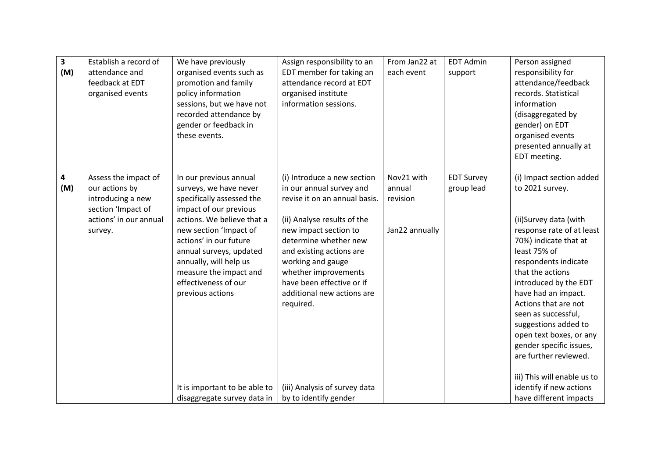| $\overline{\mathbf{3}}$<br>(M) | Establish a record of<br>attendance and<br>feedback at EDT<br>organised events                                         | We have previously<br>organised events such as<br>promotion and family<br>policy information<br>sessions, but we have not<br>recorded attendance by<br>gender or feedback in<br>these events.                                                                                                                                                                                        | Assign responsibility to an<br>EDT member for taking an<br>attendance record at EDT<br>organised institute<br>information sessions.                                                                                                                                                                                                                                                  | From Jan22 at<br>each event                        | <b>EDT Admin</b><br>support     | Person assigned<br>responsibility for<br>attendance/feedback<br>records. Statistical<br>information<br>(disaggregated by<br>gender) on EDT<br>organised events<br>presented annually at<br>EDT meeting.                                                                                                                                                                                                                                                                          |
|--------------------------------|------------------------------------------------------------------------------------------------------------------------|--------------------------------------------------------------------------------------------------------------------------------------------------------------------------------------------------------------------------------------------------------------------------------------------------------------------------------------------------------------------------------------|--------------------------------------------------------------------------------------------------------------------------------------------------------------------------------------------------------------------------------------------------------------------------------------------------------------------------------------------------------------------------------------|----------------------------------------------------|---------------------------------|----------------------------------------------------------------------------------------------------------------------------------------------------------------------------------------------------------------------------------------------------------------------------------------------------------------------------------------------------------------------------------------------------------------------------------------------------------------------------------|
| 4<br>(M)                       | Assess the impact of<br>our actions by<br>introducing a new<br>section 'Impact of<br>actions' in our annual<br>survey. | In our previous annual<br>surveys, we have never<br>specifically assessed the<br>impact of our previous<br>actions. We believe that a<br>new section 'Impact of<br>actions' in our future<br>annual surveys, updated<br>annually, will help us<br>measure the impact and<br>effectiveness of our<br>previous actions<br>It is important to be able to<br>disaggregate survey data in | (i) Introduce a new section<br>in our annual survey and<br>revise it on an annual basis.<br>(ii) Analyse results of the<br>new impact section to<br>determine whether new<br>and existing actions are<br>working and gauge<br>whether improvements<br>have been effective or if<br>additional new actions are<br>required.<br>(iii) Analysis of survey data<br>by to identify gender | Nov21 with<br>annual<br>revision<br>Jan22 annually | <b>EDT Survey</b><br>group lead | (i) Impact section added<br>to 2021 survey.<br>(ii)Survey data (with<br>response rate of at least<br>70%) indicate that at<br>least 75% of<br>respondents indicate<br>that the actions<br>introduced by the EDT<br>have had an impact.<br>Actions that are not<br>seen as successful,<br>suggestions added to<br>open text boxes, or any<br>gender specific issues,<br>are further reviewed.<br>iii) This will enable us to<br>identify if new actions<br>have different impacts |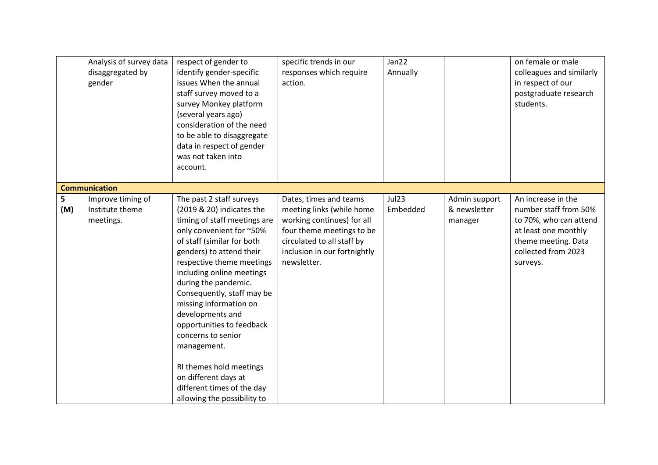|          | Analysis of survey data<br>disaggregated by<br>gender | respect of gender to<br>identify gender-specific<br>issues When the annual<br>staff survey moved to a<br>survey Monkey platform<br>(several years ago)<br>consideration of the need<br>to be able to disaggregate<br>data in respect of gender<br>was not taken into<br>account.                                                                                                                                                                                                                                            | specific trends in our<br>responses which require<br>action.                                                                                                                                | Jan22<br>Annually |                                          | on female or male<br>colleagues and similarly<br>in respect of our<br>postgraduate research<br>students.                                                |
|----------|-------------------------------------------------------|-----------------------------------------------------------------------------------------------------------------------------------------------------------------------------------------------------------------------------------------------------------------------------------------------------------------------------------------------------------------------------------------------------------------------------------------------------------------------------------------------------------------------------|---------------------------------------------------------------------------------------------------------------------------------------------------------------------------------------------|-------------------|------------------------------------------|---------------------------------------------------------------------------------------------------------------------------------------------------------|
|          | <b>Communication</b>                                  |                                                                                                                                                                                                                                                                                                                                                                                                                                                                                                                             |                                                                                                                                                                                             |                   |                                          |                                                                                                                                                         |
| 5<br>(M) | Improve timing of<br>Institute theme<br>meetings.     | The past 2 staff surveys<br>(2019 & 20) indicates the<br>timing of staff meetings are<br>only convenient for ~50%<br>of staff (similar for both<br>genders) to attend their<br>respective theme meetings<br>including online meetings<br>during the pandemic.<br>Consequently, staff may be<br>missing information on<br>developments and<br>opportunities to feedback<br>concerns to senior<br>management.<br>RI themes hold meetings<br>on different days at<br>different times of the day<br>allowing the possibility to | Dates, times and teams<br>meeting links (while home<br>working continues) for all<br>four theme meetings to be<br>circulated to all staff by<br>inclusion in our fortnightly<br>newsletter. | Jul23<br>Embedded | Admin support<br>& newsletter<br>manager | An increase in the<br>number staff from 50%<br>to 70%, who can attend<br>at least one monthly<br>theme meeting. Data<br>collected from 2023<br>surveys. |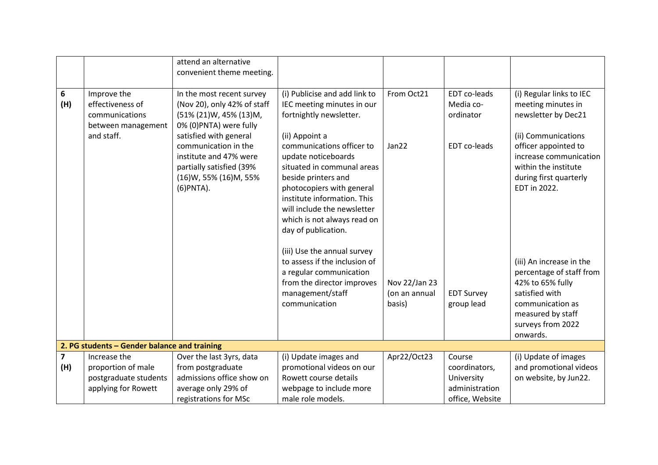|                       |                                                                                       | attend an alternative<br>convenient theme meeting.                                                                                                              |                                                                                                                                                                                                                           |                                          |                                                         |                                                                                                                                                                      |
|-----------------------|---------------------------------------------------------------------------------------|-----------------------------------------------------------------------------------------------------------------------------------------------------------------|---------------------------------------------------------------------------------------------------------------------------------------------------------------------------------------------------------------------------|------------------------------------------|---------------------------------------------------------|----------------------------------------------------------------------------------------------------------------------------------------------------------------------|
| 6<br>(H)              | Improve the<br>effectiveness of<br>communications<br>between management<br>and staff. | In the most recent survey<br>(Nov 20), only 42% of staff<br>(51% (21)W, 45% (13)M,<br>0% (0) PNTA) were fully<br>satisfied with general<br>communication in the | (i) Publicise and add link to<br>IEC meeting minutes in our<br>fortnightly newsletter.<br>(ii) Appoint a<br>communications officer to                                                                                     | From Oct21<br>Jan22                      | EDT co-leads<br>Media co-<br>ordinator<br>EDT co-leads  | (i) Regular links to IEC<br>meeting minutes in<br>newsletter by Dec21<br>(ii) Communications<br>officer appointed to                                                 |
|                       |                                                                                       | institute and 47% were<br>partially satisfied (39%<br>(16)W, 55% (16)M, 55%<br>(6) PNTA).                                                                       | update noticeboards<br>situated in communal areas<br>beside printers and<br>photocopiers with general<br>institute information. This<br>will include the newsletter<br>which is not always read on<br>day of publication. |                                          |                                                         | increase communication<br>within the institute<br>during first quarterly<br>EDT in 2022.                                                                             |
|                       |                                                                                       |                                                                                                                                                                 | (iii) Use the annual survey<br>to assess if the inclusion of<br>a regular communication<br>from the director improves<br>management/staff<br>communication                                                                | Nov 22/Jan 23<br>(on an annual<br>basis) | <b>EDT Survey</b><br>group lead                         | (iii) An increase in the<br>percentage of staff from<br>42% to 65% fully<br>satisfied with<br>communication as<br>measured by staff<br>surveys from 2022<br>onwards. |
|                       | 2. PG students - Gender balance and training                                          |                                                                                                                                                                 |                                                                                                                                                                                                                           |                                          |                                                         |                                                                                                                                                                      |
| $\overline{7}$<br>(H) | Increase the<br>proportion of male<br>postgraduate students<br>applying for Rowett    | Over the last 3yrs, data<br>from postgraduate<br>admissions office show on<br>average only 29% of                                                               | (i) Update images and<br>promotional videos on our<br>Rowett course details<br>webpage to include more                                                                                                                    | Apr22/Oct23                              | Course<br>coordinators,<br>University<br>administration | (i) Update of images<br>and promotional videos<br>on website, by Jun22.                                                                                              |
|                       |                                                                                       | registrations for MSc                                                                                                                                           | male role models.                                                                                                                                                                                                         |                                          | office, Website                                         |                                                                                                                                                                      |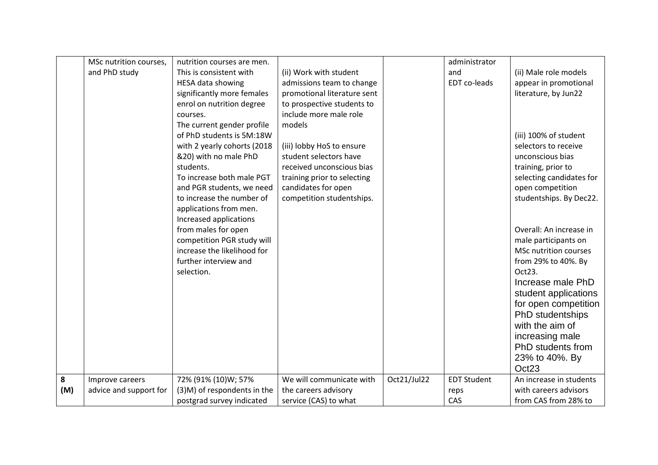|     | MSc nutrition courses, | nutrition courses are men.  |                             |             | administrator      |                          |
|-----|------------------------|-----------------------------|-----------------------------|-------------|--------------------|--------------------------|
|     | and PhD study          | This is consistent with     | (ii) Work with student      |             | and                | (ii) Male role models    |
|     |                        | <b>HESA data showing</b>    | admissions team to change   |             | EDT co-leads       | appear in promotional    |
|     |                        | significantly more females  | promotional literature sent |             |                    | literature, by Jun22     |
|     |                        | enrol on nutrition degree   | to prospective students to  |             |                    |                          |
|     |                        | courses.                    | include more male role      |             |                    |                          |
|     |                        | The current gender profile  | models                      |             |                    |                          |
|     |                        | of PhD students is 5M:18W   |                             |             |                    | (iii) 100% of student    |
|     |                        | with 2 yearly cohorts (2018 | (iii) lobby HoS to ensure   |             |                    | selectors to receive     |
|     |                        | &20) with no male PhD       | student selectors have      |             |                    | unconscious bias         |
|     |                        | students.                   | received unconscious bias   |             |                    | training, prior to       |
|     |                        | To increase both male PGT   | training prior to selecting |             |                    | selecting candidates for |
|     |                        | and PGR students, we need   | candidates for open         |             |                    | open competition         |
|     |                        | to increase the number of   | competition studentships.   |             |                    | studentships. By Dec22.  |
|     |                        | applications from men.      |                             |             |                    |                          |
|     |                        | Increased applications      |                             |             |                    |                          |
|     |                        | from males for open         |                             |             |                    | Overall: An increase in  |
|     |                        | competition PGR study will  |                             |             |                    | male participants on     |
|     |                        | increase the likelihood for |                             |             |                    | MSc nutrition courses    |
|     |                        | further interview and       |                             |             |                    | from 29% to 40%. By      |
|     |                        | selection.                  |                             |             |                    |                          |
|     |                        |                             |                             |             |                    | Oct23.                   |
|     |                        |                             |                             |             |                    | Increase male PhD        |
|     |                        |                             |                             |             |                    | student applications     |
|     |                        |                             |                             |             |                    | for open competition     |
|     |                        |                             |                             |             |                    | PhD studentships         |
|     |                        |                             |                             |             |                    | with the aim of          |
|     |                        |                             |                             |             |                    | increasing male          |
|     |                        |                             |                             |             |                    | PhD students from        |
|     |                        |                             |                             |             |                    | 23% to 40%. By           |
|     |                        |                             |                             |             |                    | Oct23                    |
| 8   | Improve careers        | 72% (91% (10)W; 57%         | We will communicate with    | Oct21/Jul22 | <b>EDT Student</b> | An increase in students  |
| (M) | advice and support for | (3)M) of respondents in the | the careers advisory        |             | reps               | with careers advisors    |
|     |                        | postgrad survey indicated   | service (CAS) to what       |             | CAS                | from CAS from 28% to     |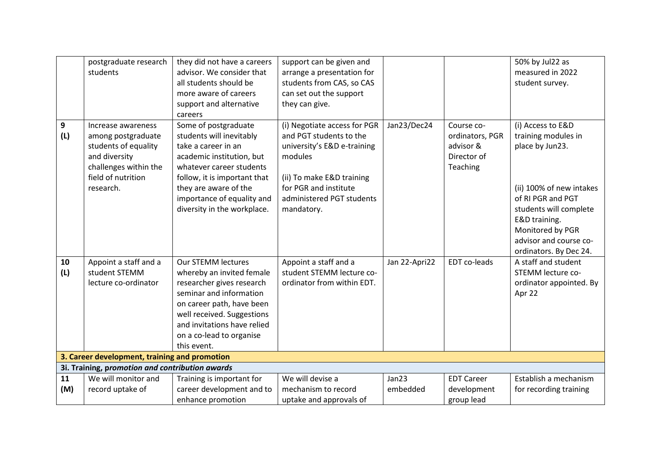|           | postgraduate research<br>students                                                                                                             | they did not have a careers<br>advisor. We consider that<br>all students should be<br>more aware of careers<br>support and alternative<br>careers                                                                                                      | support can be given and<br>arrange a presentation for<br>students from CAS, so CAS<br>can set out the support<br>they can give.                                                                   |                   |                                                                       | 50% by Jul22 as<br>measured in 2022<br>student survey.                                                                                                                                                                          |
|-----------|-----------------------------------------------------------------------------------------------------------------------------------------------|--------------------------------------------------------------------------------------------------------------------------------------------------------------------------------------------------------------------------------------------------------|----------------------------------------------------------------------------------------------------------------------------------------------------------------------------------------------------|-------------------|-----------------------------------------------------------------------|---------------------------------------------------------------------------------------------------------------------------------------------------------------------------------------------------------------------------------|
| 9<br>(L)  | Increase awareness<br>among postgraduate<br>students of equality<br>and diversity<br>challenges within the<br>field of nutrition<br>research. | Some of postgraduate<br>students will inevitably<br>take a career in an<br>academic institution, but<br>whatever career students<br>follow, it is important that<br>they are aware of the<br>importance of equality and<br>diversity in the workplace. | (i) Negotiate access for PGR<br>and PGT students to the<br>university's E&D e-training<br>modules<br>(ii) To make E&D training<br>for PGR and institute<br>administered PGT students<br>mandatory. | Jan23/Dec24       | Course co-<br>ordinators, PGR<br>advisor &<br>Director of<br>Teaching | (i) Access to E&D<br>training modules in<br>place by Jun23.<br>(ii) 100% of new intakes<br>of RI PGR and PGT<br>students will complete<br>E&D training.<br>Monitored by PGR<br>advisor and course co-<br>ordinators. By Dec 24. |
| 10<br>(L) | Appoint a staff and a<br>student STEMM<br>lecture co-ordinator                                                                                | <b>Our STEMM lectures</b><br>whereby an invited female<br>researcher gives research<br>seminar and information<br>on career path, have been<br>well received. Suggestions<br>and invitations have relied<br>on a co-lead to organise<br>this event.    | Appoint a staff and a<br>student STEMM lecture co-<br>ordinator from within EDT.                                                                                                                   | Jan 22-Apri22     | EDT co-leads                                                          | A staff and student<br>STEMM lecture co-<br>ordinator appointed. By<br>Apr 22                                                                                                                                                   |
|           | 3. Career development, training and promotion                                                                                                 |                                                                                                                                                                                                                                                        |                                                                                                                                                                                                    |                   |                                                                       |                                                                                                                                                                                                                                 |
|           | 3i. Training, promotion and contribution awards                                                                                               |                                                                                                                                                                                                                                                        |                                                                                                                                                                                                    |                   |                                                                       |                                                                                                                                                                                                                                 |
| 11<br>(M) | We will monitor and<br>record uptake of                                                                                                       | Training is important for<br>career development and to<br>enhance promotion                                                                                                                                                                            | We will devise a<br>mechanism to record<br>uptake and approvals of                                                                                                                                 | Jan23<br>embedded | <b>EDT Career</b><br>development<br>group lead                        | Establish a mechanism<br>for recording training                                                                                                                                                                                 |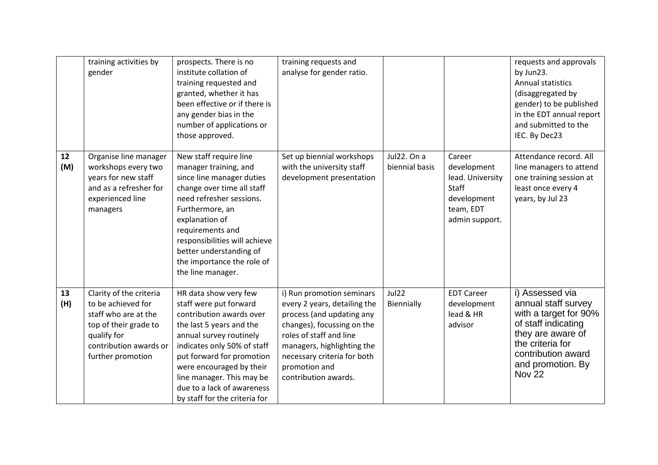|           | training activities by<br>gender                                                                                                                             | prospects. There is no<br>institute collation of<br>training requested and<br>granted, whether it has<br>been effective or if there is<br>any gender bias in the<br>number of applications or<br>those approved.                                                                                                       | training requests and<br>analyse for gender ratio.                                                                                                                                                                                                    |                               |                                                                                                         | requests and approvals<br>by Jun23.<br><b>Annual statistics</b><br>(disaggregated by<br>gender) to be published<br>in the EDT annual report<br>and submitted to the<br>IEC. By Dec23            |
|-----------|--------------------------------------------------------------------------------------------------------------------------------------------------------------|------------------------------------------------------------------------------------------------------------------------------------------------------------------------------------------------------------------------------------------------------------------------------------------------------------------------|-------------------------------------------------------------------------------------------------------------------------------------------------------------------------------------------------------------------------------------------------------|-------------------------------|---------------------------------------------------------------------------------------------------------|-------------------------------------------------------------------------------------------------------------------------------------------------------------------------------------------------|
| 12<br>(M) | Organise line manager<br>workshops every two<br>years for new staff<br>and as a refresher for<br>experienced line<br>managers                                | New staff require line<br>manager training, and<br>since line manager duties<br>change over time all staff<br>need refresher sessions.<br>Furthermore, an<br>explanation of<br>requirements and<br>responsibilities will achieve<br>better understanding of<br>the importance the role of<br>the line manager.         | Set up biennial workshops<br>with the university staff<br>development presentation                                                                                                                                                                    | Jul22. On a<br>biennial basis | Career<br>development<br>lead. University<br><b>Staff</b><br>development<br>team, EDT<br>admin support. | Attendance record. All<br>line managers to attend<br>one training session at<br>least once every 4<br>years, by Jul 23                                                                          |
| 13<br>(H) | Clarity of the criteria<br>to be achieved for<br>staff who are at the<br>top of their grade to<br>qualify for<br>contribution awards or<br>further promotion | HR data show very few<br>staff were put forward<br>contribution awards over<br>the last 5 years and the<br>annual survey routinely<br>indicates only 50% of staff<br>put forward for promotion<br>were encouraged by their<br>line manager. This may be<br>due to a lack of awareness<br>by staff for the criteria for | i) Run promotion seminars<br>every 2 years, detailing the<br>process (and updating any<br>changes), focussing on the<br>roles of staff and line<br>managers, highlighting the<br>necessary criteria for both<br>promotion and<br>contribution awards. | Jul22<br>Biennially           | <b>EDT Career</b><br>development<br>lead & HR<br>advisor                                                | i) Assessed via<br>annual staff survey<br>with a target for 90%<br>of staff indicating<br>they are aware of<br>the criteria for<br>contribution award<br>and promotion. By<br>Nov <sub>22</sub> |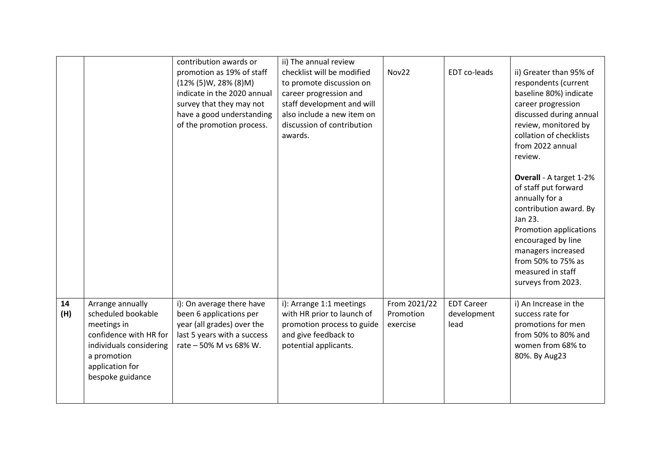|           |                                                                                                                                                                  | contribution awards or<br>promotion as 19% of staff<br>$(12\% (5)W, 28\% (8)M)$<br>indicate in the 2020 annual<br>survey that they may not<br>have a good understanding<br>of the promotion process. | ii) The annual review<br>checklist will be modified<br>to promote discussion on<br>career progression and<br>staff development and will<br>also include a new item on<br>discussion of contribution<br>awards. | Nov22                                 | EDT co-leads                             | ii) Greater than 95% of<br>respondents (current<br>baseline 80%) indicate<br>career progression<br>discussed during annual<br>review, monitored by<br>collation of checklists<br>from 2022 annual<br>review.                                  |
|-----------|------------------------------------------------------------------------------------------------------------------------------------------------------------------|------------------------------------------------------------------------------------------------------------------------------------------------------------------------------------------------------|----------------------------------------------------------------------------------------------------------------------------------------------------------------------------------------------------------------|---------------------------------------|------------------------------------------|-----------------------------------------------------------------------------------------------------------------------------------------------------------------------------------------------------------------------------------------------|
|           |                                                                                                                                                                  |                                                                                                                                                                                                      |                                                                                                                                                                                                                |                                       |                                          | Overall - A target 1-2%<br>of staff put forward<br>annually for a<br>contribution award. By<br>Jan 23.<br>Promotion applications<br>encouraged by line<br>managers increased<br>from 50% to 75% as<br>measured in staff<br>surveys from 2023. |
| 14<br>(H) | Arrange annually<br>scheduled bookable<br>meetings in<br>confidence with HR for<br>individuals considering<br>a promotion<br>application for<br>bespoke guidance | i): On average there have<br>been 6 applications per<br>year (all grades) over the<br>last 5 years with a success<br>rate - 50% M vs 68% W.                                                          | i): Arrange 1:1 meetings<br>with HR prior to launch of<br>promotion process to guide<br>and give feedback to<br>potential applicants.                                                                          | From 2021/22<br>Promotion<br>exercise | <b>EDT Career</b><br>development<br>lead | i) An Increase in the<br>success rate for<br>promotions for men<br>from 50% to 80% and<br>women from 68% to<br>80%. By Aug23                                                                                                                  |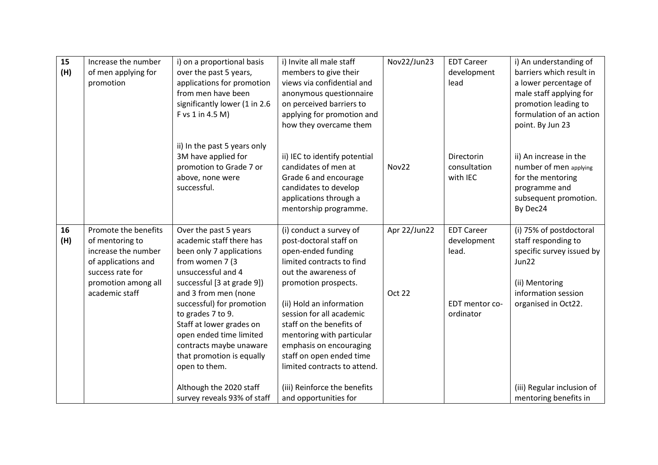| 15<br>(H) | Increase the number<br>of men applying for<br>promotion                                                                                            | i) on a proportional basis<br>over the past 5 years,<br>applications for promotion<br>from men have been<br>significantly lower (1 in 2.6<br>F vs 1 in 4.5 M)                  | i) Invite all male staff<br>members to give their<br>views via confidential and<br>anonymous questionnaire<br>on perceived barriers to<br>applying for promotion and<br>how they overcame them       | Nov22/Jun23            | <b>EDT Career</b><br>development<br>lead  | i) An understanding of<br>barriers which result in<br>a lower percentage of<br>male staff applying for<br>promotion leading to<br>formulation of an action<br>point. By Jun 23 |
|-----------|----------------------------------------------------------------------------------------------------------------------------------------------------|--------------------------------------------------------------------------------------------------------------------------------------------------------------------------------|------------------------------------------------------------------------------------------------------------------------------------------------------------------------------------------------------|------------------------|-------------------------------------------|--------------------------------------------------------------------------------------------------------------------------------------------------------------------------------|
|           |                                                                                                                                                    | ii) In the past 5 years only<br>3M have applied for<br>promotion to Grade 7 or<br>above, none were<br>successful.                                                              | ii) IEC to identify potential<br>candidates of men at<br>Grade 6 and encourage<br>candidates to develop<br>applications through a<br>mentorship programme.                                           | Nov22                  | Directorin<br>consultation<br>with IEC    | ii) An increase in the<br>number of men applying<br>for the mentoring<br>programme and<br>subsequent promotion.<br>By Dec24                                                    |
| 16<br>(H) | Promote the benefits<br>of mentoring to<br>increase the number<br>of applications and<br>success rate for<br>promotion among all<br>academic staff | Over the past 5 years<br>academic staff there has<br>been only 7 applications<br>from women 7 (3<br>unsuccessful and 4<br>successful [3 at grade 9])<br>and 3 from men (none   | (i) conduct a survey of<br>post-doctoral staff on<br>open-ended funding<br>limited contracts to find<br>out the awareness of<br>promotion prospects.                                                 | Apr 22/Jun22<br>Oct 22 | <b>EDT Career</b><br>development<br>lead. | (i) 75% of postdoctoral<br>staff responding to<br>specific survey issued by<br>Jun22<br>(ii) Mentoring<br>information session                                                  |
|           |                                                                                                                                                    | successful) for promotion<br>to grades 7 to 9.<br>Staff at lower grades on<br>open ended time limited<br>contracts maybe unaware<br>that promotion is equally<br>open to them. | (ii) Hold an information<br>session for all academic<br>staff on the benefits of<br>mentoring with particular<br>emphasis on encouraging<br>staff on open ended time<br>limited contracts to attend. |                        | EDT mentor co-<br>ordinator               | organised in Oct22.                                                                                                                                                            |
|           |                                                                                                                                                    | Although the 2020 staff<br>survey reveals 93% of staff                                                                                                                         | (iii) Reinforce the benefits<br>and opportunities for                                                                                                                                                |                        |                                           | (iii) Regular inclusion of<br>mentoring benefits in                                                                                                                            |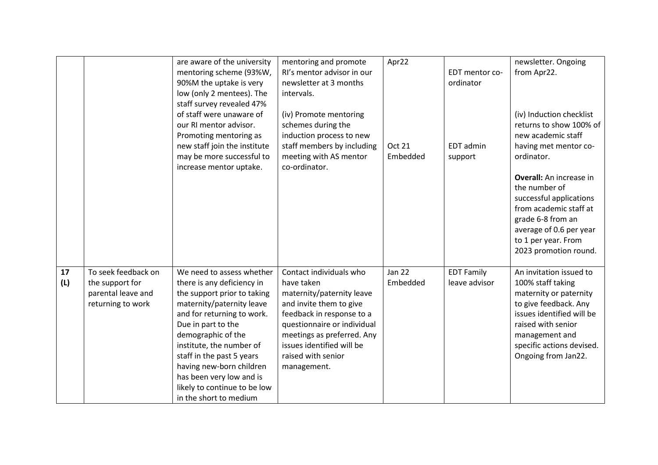|           |                                                                                   | are aware of the university<br>mentoring scheme (93%W,<br>90%M the uptake is very<br>low (only 2 mentees). The<br>staff survey revealed 47%<br>of staff were unaware of<br>our RI mentor advisor.<br>Promoting mentoring as<br>new staff join the institute<br>may be more successful to<br>increase mentor uptake.                                                      | mentoring and promote<br>RI's mentor advisor in our<br>newsletter at 3 months<br>intervals.<br>(iv) Promote mentoring<br>schemes during the<br>induction process to new<br>staff members by including<br>meeting with AS mentor<br>co-ordinator.          | Apr22<br><b>Oct 21</b><br>Embedded | EDT mentor co-<br>ordinator<br>EDT admin<br>support | newsletter. Ongoing<br>from Apr22.<br>(iv) Induction checklist<br>returns to show 100% of<br>new academic staff<br>having met mentor co-<br>ordinator.                                                                   |
|-----------|-----------------------------------------------------------------------------------|--------------------------------------------------------------------------------------------------------------------------------------------------------------------------------------------------------------------------------------------------------------------------------------------------------------------------------------------------------------------------|-----------------------------------------------------------------------------------------------------------------------------------------------------------------------------------------------------------------------------------------------------------|------------------------------------|-----------------------------------------------------|--------------------------------------------------------------------------------------------------------------------------------------------------------------------------------------------------------------------------|
|           |                                                                                   |                                                                                                                                                                                                                                                                                                                                                                          |                                                                                                                                                                                                                                                           |                                    |                                                     | <b>Overall:</b> An increase in<br>the number of<br>successful applications<br>from academic staff at<br>grade 6-8 from an<br>average of 0.6 per year<br>to 1 per year. From<br>2023 promotion round.                     |
| 17<br>(L) | To seek feedback on<br>the support for<br>parental leave and<br>returning to work | We need to assess whether<br>there is any deficiency in<br>the support prior to taking<br>maternity/paternity leave<br>and for returning to work.<br>Due in part to the<br>demographic of the<br>institute, the number of<br>staff in the past 5 years<br>having new-born children<br>has been very low and is<br>likely to continue to be low<br>in the short to medium | Contact individuals who<br>have taken<br>maternity/paternity leave<br>and invite them to give<br>feedback in response to a<br>questionnaire or individual<br>meetings as preferred. Any<br>issues identified will be<br>raised with senior<br>management. | <b>Jan 22</b><br>Embedded          | <b>EDT Family</b><br>leave advisor                  | An invitation issued to<br>100% staff taking<br>maternity or paternity<br>to give feedback. Any<br>issues identified will be<br>raised with senior<br>management and<br>specific actions devised.<br>Ongoing from Jan22. |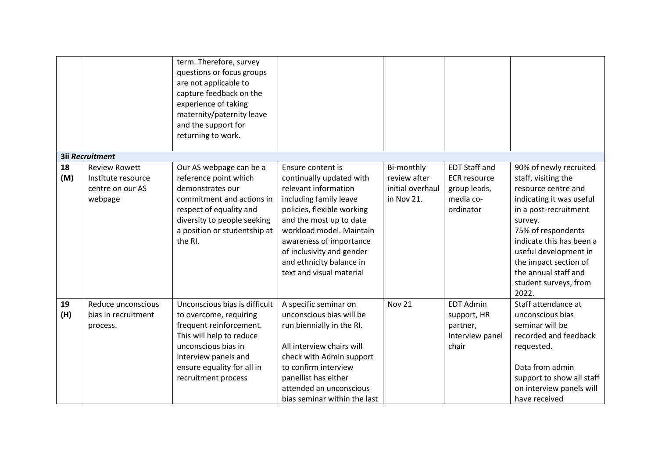|           |                                                                           | term. Therefore, survey<br>questions or focus groups<br>are not applicable to<br>capture feedback on the<br>experience of taking<br>maternity/paternity leave<br>and the support for<br>returning to work.         |                                                                                                                                                                                                                                                                                                      |                                                              |                                                                                       |                                                                                                                                                                                                                                                                                                    |
|-----------|---------------------------------------------------------------------------|--------------------------------------------------------------------------------------------------------------------------------------------------------------------------------------------------------------------|------------------------------------------------------------------------------------------------------------------------------------------------------------------------------------------------------------------------------------------------------------------------------------------------------|--------------------------------------------------------------|---------------------------------------------------------------------------------------|----------------------------------------------------------------------------------------------------------------------------------------------------------------------------------------------------------------------------------------------------------------------------------------------------|
|           | <b>3ii Recruitment</b>                                                    |                                                                                                                                                                                                                    |                                                                                                                                                                                                                                                                                                      |                                                              |                                                                                       |                                                                                                                                                                                                                                                                                                    |
| 18<br>(M) | <b>Review Rowett</b><br>Institute resource<br>centre on our AS<br>webpage | Our AS webpage can be a<br>reference point which<br>demonstrates our<br>commitment and actions in<br>respect of equality and<br>diversity to people seeking<br>a position or studentship at<br>the RI.             | Ensure content is<br>continually updated with<br>relevant information<br>including family leave<br>policies, flexible working<br>and the most up to date<br>workload model. Maintain<br>awareness of importance<br>of inclusivity and gender<br>and ethnicity balance in<br>text and visual material | Bi-monthly<br>review after<br>initial overhaul<br>in Nov 21. | <b>EDT Staff and</b><br><b>ECR resource</b><br>group leads,<br>media co-<br>ordinator | 90% of newly recruited<br>staff, visiting the<br>resource centre and<br>indicating it was useful<br>in a post-recruitment<br>survey.<br>75% of respondents<br>indicate this has been a<br>useful development in<br>the impact section of<br>the annual staff and<br>student surveys, from<br>2022. |
| 19<br>(H) | Reduce unconscious<br>bias in recruitment<br>process.                     | Unconscious bias is difficult<br>to overcome, requiring<br>frequent reinforcement.<br>This will help to reduce<br>unconscious bias in<br>interview panels and<br>ensure equality for all in<br>recruitment process | A specific seminar on<br>unconscious bias will be<br>run biennially in the RI.<br>All interview chairs will<br>check with Admin support<br>to confirm interview<br>panellist has either<br>attended an unconscious<br>bias seminar within the last                                                   | <b>Nov 21</b>                                                | <b>EDT Admin</b><br>support, HR<br>partner,<br>Interview panel<br>chair               | Staff attendance at<br>unconscious bias<br>seminar will be<br>recorded and feedback<br>requested.<br>Data from admin<br>support to show all staff<br>on interview panels will<br>have received                                                                                                     |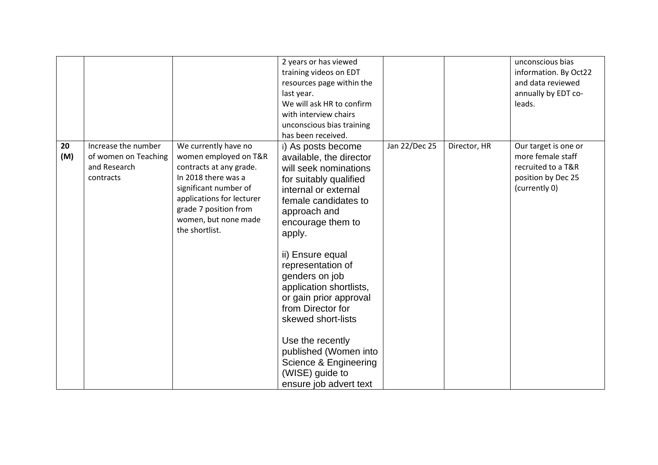|           |                                                                          |                                                                                                                                                                                                                          | 2 years or has viewed<br>training videos on EDT<br>resources page within the<br>last year.<br>We will ask HR to confirm<br>with interview chairs<br>unconscious bias training<br>has been received.                                                                                                                                                                                                                                                                           |               |              | unconscious bias<br>information. By Oct22<br>and data reviewed<br>annually by EDT co-<br>leads.        |
|-----------|--------------------------------------------------------------------------|--------------------------------------------------------------------------------------------------------------------------------------------------------------------------------------------------------------------------|-------------------------------------------------------------------------------------------------------------------------------------------------------------------------------------------------------------------------------------------------------------------------------------------------------------------------------------------------------------------------------------------------------------------------------------------------------------------------------|---------------|--------------|--------------------------------------------------------------------------------------------------------|
| 20<br>(M) | Increase the number<br>of women on Teaching<br>and Research<br>contracts | We currently have no<br>women employed on T&R<br>contracts at any grade.<br>In 2018 there was a<br>significant number of<br>applications for lecturer<br>grade 7 position from<br>women, but none made<br>the shortlist. | i) As posts become<br>available, the director<br>will seek nominations<br>for suitably qualified<br>internal or external<br>female candidates to<br>approach and<br>encourage them to<br>apply.<br>ii) Ensure equal<br>representation of<br>genders on job<br>application shortlists,<br>or gain prior approval<br>from Director for<br>skewed short-lists<br>Use the recently<br>published (Women into<br>Science & Engineering<br>(WISE) guide to<br>ensure job advert text | Jan 22/Dec 25 | Director, HR | Our target is one or<br>more female staff<br>recruited to a T&R<br>position by Dec 25<br>(currently 0) |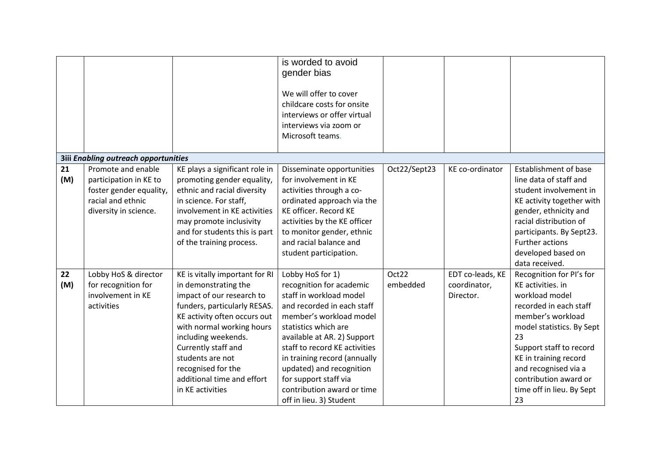|           |                                                                                                                       |                                                                                                                                                                                                                                               | is worded to avoid<br>gender bias<br>We will offer to cover<br>childcare costs for onsite<br>interviews or offer virtual<br>interviews via zoom or<br>Microsoft teams.                                                                                 |              |                  |                                                                                                                                                                                                                                                         |
|-----------|-----------------------------------------------------------------------------------------------------------------------|-----------------------------------------------------------------------------------------------------------------------------------------------------------------------------------------------------------------------------------------------|--------------------------------------------------------------------------------------------------------------------------------------------------------------------------------------------------------------------------------------------------------|--------------|------------------|---------------------------------------------------------------------------------------------------------------------------------------------------------------------------------------------------------------------------------------------------------|
|           | <b>3iii Enabling outreach opportunities</b>                                                                           |                                                                                                                                                                                                                                               |                                                                                                                                                                                                                                                        |              |                  |                                                                                                                                                                                                                                                         |
| 21<br>(M) | Promote and enable<br>participation in KE to<br>foster gender equality,<br>racial and ethnic<br>diversity in science. | KE plays a significant role in<br>promoting gender equality,<br>ethnic and racial diversity<br>in science. For staff,<br>involvement in KE activities<br>may promote inclusivity<br>and for students this is part<br>of the training process. | Disseminate opportunities<br>for involvement in KE<br>activities through a co-<br>ordinated approach via the<br>KE officer. Record KE<br>activities by the KE officer<br>to monitor gender, ethnic<br>and racial balance and<br>student participation. | Oct22/Sept23 | KE co-ordinator  | <b>Establishment of base</b><br>line data of staff and<br>student involvement in<br>KE activity together with<br>gender, ethnicity and<br>racial distribution of<br>participants. By Sept23.<br>Further actions<br>developed based on<br>data received. |
| 22        | Lobby HoS & director                                                                                                  | KE is vitally important for RI                                                                                                                                                                                                                | Lobby HoS for 1)                                                                                                                                                                                                                                       | Oct22        | EDT co-leads, KE | Recognition for PI's for                                                                                                                                                                                                                                |
| (M)       | for recognition for<br>involvement in KE                                                                              | in demonstrating the                                                                                                                                                                                                                          | recognition for academic<br>staff in workload model                                                                                                                                                                                                    | embedded     | coordinator,     | KE activities. in<br>workload model                                                                                                                                                                                                                     |
|           | activities                                                                                                            | impact of our research to<br>funders, particularly RESAS.                                                                                                                                                                                     | and recorded in each staff                                                                                                                                                                                                                             |              | Director.        | recorded in each staff                                                                                                                                                                                                                                  |
|           |                                                                                                                       | KE activity often occurs out                                                                                                                                                                                                                  | member's workload model                                                                                                                                                                                                                                |              |                  | member's workload                                                                                                                                                                                                                                       |
|           |                                                                                                                       | with normal working hours                                                                                                                                                                                                                     | statistics which are                                                                                                                                                                                                                                   |              |                  | model statistics. By Sept                                                                                                                                                                                                                               |
|           |                                                                                                                       | including weekends.<br>Currently staff and                                                                                                                                                                                                    | available at AR. 2) Support<br>staff to record KE activities                                                                                                                                                                                           |              |                  | 23                                                                                                                                                                                                                                                      |
|           |                                                                                                                       | students are not                                                                                                                                                                                                                              | in training record (annually                                                                                                                                                                                                                           |              |                  | Support staff to record<br>KE in training record                                                                                                                                                                                                        |
|           |                                                                                                                       | recognised for the                                                                                                                                                                                                                            | updated) and recognition                                                                                                                                                                                                                               |              |                  | and recognised via a                                                                                                                                                                                                                                    |
|           |                                                                                                                       | additional time and effort                                                                                                                                                                                                                    | for support staff via                                                                                                                                                                                                                                  |              |                  | contribution award or                                                                                                                                                                                                                                   |
|           |                                                                                                                       | in KE activities                                                                                                                                                                                                                              | contribution award or time                                                                                                                                                                                                                             |              |                  | time off in lieu. By Sept                                                                                                                                                                                                                               |
|           |                                                                                                                       |                                                                                                                                                                                                                                               | off in lieu. 3) Student                                                                                                                                                                                                                                |              |                  | 23                                                                                                                                                                                                                                                      |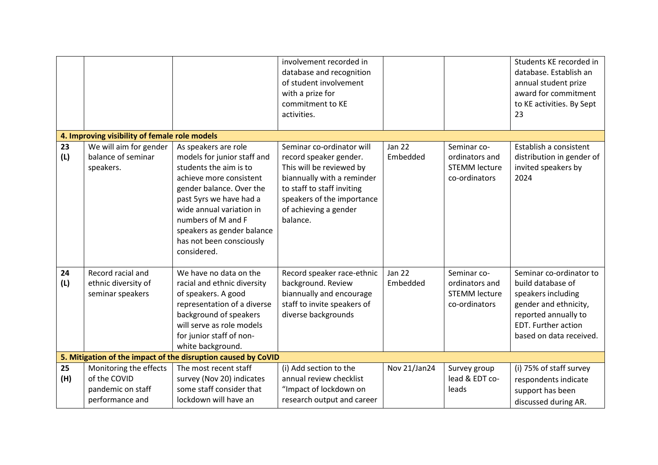|           |                                                                                |                                                                                                                                                                                                                                                                                            | involvement recorded in<br>database and recognition<br>of student involvement<br>with a prize for<br>commitment to KE<br>activities.                                                                           |                           |                                                                        | Students KE recorded in<br>database. Establish an<br>annual student prize<br>award for commitment<br>to KE activities. By Sept<br>23                                  |
|-----------|--------------------------------------------------------------------------------|--------------------------------------------------------------------------------------------------------------------------------------------------------------------------------------------------------------------------------------------------------------------------------------------|----------------------------------------------------------------------------------------------------------------------------------------------------------------------------------------------------------------|---------------------------|------------------------------------------------------------------------|-----------------------------------------------------------------------------------------------------------------------------------------------------------------------|
|           | 4. Improving visibility of female role models                                  |                                                                                                                                                                                                                                                                                            |                                                                                                                                                                                                                |                           |                                                                        |                                                                                                                                                                       |
| 23<br>(L) | We will aim for gender<br>balance of seminar<br>speakers.                      | As speakers are role<br>models for junior staff and<br>students the aim is to<br>achieve more consistent<br>gender balance. Over the<br>past 5yrs we have had a<br>wide annual variation in<br>numbers of M and F<br>speakers as gender balance<br>has not been consciously<br>considered. | Seminar co-ordinator will<br>record speaker gender.<br>This will be reviewed by<br>biannually with a reminder<br>to staff to staff inviting<br>speakers of the importance<br>of achieving a gender<br>balance. | <b>Jan 22</b><br>Embedded | Seminar co-<br>ordinators and<br><b>STEMM lecture</b><br>co-ordinators | Establish a consistent<br>distribution in gender of<br>invited speakers by<br>2024                                                                                    |
| 24<br>(L) | Record racial and<br>ethnic diversity of<br>seminar speakers                   | We have no data on the<br>racial and ethnic diversity<br>of speakers. A good<br>representation of a diverse<br>background of speakers<br>will serve as role models<br>for junior staff of non-<br>white background.                                                                        | Record speaker race-ethnic<br>background. Review<br>biannually and encourage<br>staff to invite speakers of<br>diverse backgrounds                                                                             | <b>Jan 22</b><br>Embedded | Seminar co-<br>ordinators and<br><b>STEMM lecture</b><br>co-ordinators | Seminar co-ordinator to<br>build database of<br>speakers including<br>gender and ethnicity,<br>reported annually to<br>EDT. Further action<br>based on data received. |
|           |                                                                                | 5. Mitigation of the impact of the disruption caused by CoVID                                                                                                                                                                                                                              |                                                                                                                                                                                                                |                           |                                                                        |                                                                                                                                                                       |
| 25<br>(H) | Monitoring the effects<br>of the COVID<br>pandemic on staff<br>performance and | The most recent staff<br>survey (Nov 20) indicates<br>some staff consider that<br>lockdown will have an                                                                                                                                                                                    | (i) Add section to the<br>annual review checklist<br>"Impact of lockdown on<br>research output and career                                                                                                      | Nov 21/Jan24              | Survey group<br>lead & EDT co-<br>leads                                | (i) 75% of staff survey<br>respondents indicate<br>support has been<br>discussed during AR.                                                                           |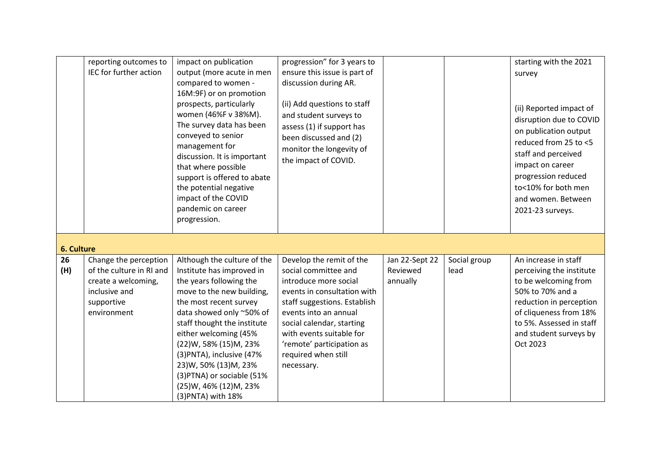|           | reporting outcomes to<br>IEC for further action                                                                        | impact on publication<br>output (more acute in men<br>compared to women -<br>16M:9F) or on promotion<br>prospects, particularly<br>women (46%F v 38%M).<br>The survey data has been<br>conveyed to senior<br>management for<br>discussion. It is important<br>that where possible<br>support is offered to abate<br>the potential negative<br>impact of the COVID<br>pandemic on career<br>progression. | progression" for 3 years to<br>ensure this issue is part of<br>discussion during AR.<br>(ii) Add questions to staff<br>and student surveys to<br>assess (1) if support has<br>been discussed and (2)<br>monitor the longevity of<br>the impact of COVID.                                     |                                        |                      | starting with the 2021<br>survey<br>(ii) Reported impact of<br>disruption due to COVID<br>on publication output<br>reduced from 25 to <5<br>staff and perceived<br>impact on career<br>progression reduced<br>to<10% for both men<br>and women. Between<br>2021-23 surveys. |  |
|-----------|------------------------------------------------------------------------------------------------------------------------|---------------------------------------------------------------------------------------------------------------------------------------------------------------------------------------------------------------------------------------------------------------------------------------------------------------------------------------------------------------------------------------------------------|----------------------------------------------------------------------------------------------------------------------------------------------------------------------------------------------------------------------------------------------------------------------------------------------|----------------------------------------|----------------------|-----------------------------------------------------------------------------------------------------------------------------------------------------------------------------------------------------------------------------------------------------------------------------|--|
|           | <b>6. Culture</b>                                                                                                      |                                                                                                                                                                                                                                                                                                                                                                                                         |                                                                                                                                                                                                                                                                                              |                                        |                      |                                                                                                                                                                                                                                                                             |  |
| 26<br>(H) | Change the perception<br>of the culture in RI and<br>create a welcoming,<br>inclusive and<br>supportive<br>environment | Although the culture of the<br>Institute has improved in<br>the years following the<br>move to the new building,<br>the most recent survey<br>data showed only ~50% of<br>staff thought the institute<br>either welcoming (45%<br>(22)W, 58% (15)M, 23%<br>(3) PNTA), inclusive (47%<br>23)W, 50% (13)M, 23%<br>(3) PTNA) or sociable (51%<br>(25)W, 46% (12)M, 23%<br>(3) PNTA) with 18%               | Develop the remit of the<br>social committee and<br>introduce more social<br>events in consultation with<br>staff suggestions. Establish<br>events into an annual<br>social calendar, starting<br>with events suitable for<br>'remote' participation as<br>required when still<br>necessary. | Jan 22-Sept 22<br>Reviewed<br>annually | Social group<br>lead | An increase in staff<br>perceiving the institute<br>to be welcoming from<br>50% to 70% and a<br>reduction in perception<br>of cliqueness from 18%<br>to 5%. Assessed in staff<br>and student surveys by<br>Oct 2023                                                         |  |